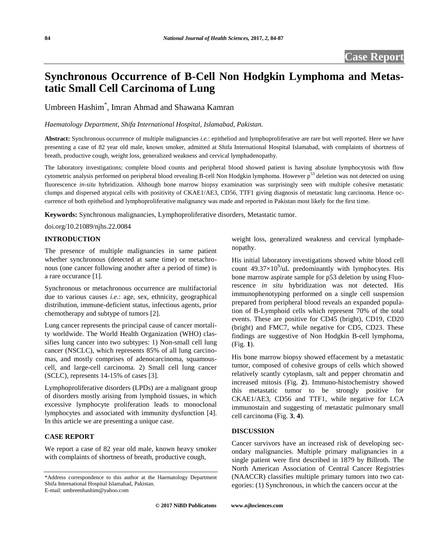# **Synchronous Occurrence of B-Cell Non Hodgkin Lymphoma and Metastatic Small Cell Carcinoma of Lung**

Umbreen Hashim\* , Imran Ahmad and Shawana Kamran

*Haematology Department, Shifa International Hospital, Islamabad, Pakistan.*

**Abstract:** Synchronous occurrence of multiple malignancies *i.e.*: epitheliod and lymphoproliferative are rare but well reported. Here we have presenting a case of 82 year old male, known smoker, admitted at Shifa International Hospital Islamabad, with complaints of shortness of breath, productive cough, weight loss, generalized weakness and cervical lymphadenopathy.

The laboratory investigations; complete blood counts and peripheral blood showed patient is having absolute lymphocytosis with flow cytometric analysis performed on peripheral blood revealing B-cell Non Hodgkin lymphoma. However p<sup>53</sup> deletion was not detected on using fluorescence *in-situ* hybridization. Although bone marrow biopsy examination was surprisingly seen with multiple cohesive metastatic clumps and dispersed atypical cells with positivity of CKAE1/AE3, CD56, TTF1 giving diagnosis of metastatic lung carcinoma. Hence occurrence of both epitheliod and lymphoproliferative malignancy was made and reported in Pakistan most likely for the first time.

**Keywords:** Synchronous malignancies, Lymphoproliferative disorders, Metastatic tumor.

doi.org/10.21089/njhs.22.0084

### **INTRODUCTION**

The presence of multiple malignancies in same patient whether synchronous (detected at same time) or metachronous (one cancer following another after a period of time) is a rare occurance [1].

Synchronous or metachronous occurrence are multifactorial due to various causes *i.e.*: age, sex, ethnicity, geographical distribution, immune-deficient status, infectious agents, prior chemotherapy and subtype of tumors [2].

Lung cancer represents the principal cause of cancer mortality worldwide. The World Health Organization (WHO) classifies lung cancer into two subtypes: 1) Non-small cell lung cancer (NSCLC), which represents 85% of all lung carcinomas, and mostly comprises of adenocarcinoma, squamouscell, and large-cell carcinoma. 2) Small cell lung cancer (SCLC), represents 14-15% of cases [3].

Lymphoproliferative disorders (LPDs) are a malignant group of disorders mostly arising from lymphoid tissues, in which excessive lymphocyte proliferation leads to monoclonal lymphocytes and associated with immunity dysfunction [4]. In this article we are presenting a unique case.

#### **CASE REPORT**

We report a case of 82 year old male, known heavy smoker with complaints of shortness of breath, productive cough,

**© 2017 NiBD Publicatons [www.njhsciences.com](http://www.njhsciences.com/)**

weight loss, generalized weakness and cervical lymphadenopathy.

His initial laboratory investigations showed white blood cell count  $49.37 \times 10^9$ /uL predominantly with lymphocytes. His bone marrow aspirate sample for p53 deletion by using Fluorescence *in situ* hybridization was not detected. His immunophenotyping performed on a single cell suspension prepared from peripheral blood reveals an expanded population of B-Lymphoid cells which represent 70% of the total events. These are positive for CD45 (bright), CD19, CD20 (bright) and FMC7, while negative for CD5, CD23. These findings are suggestive of Non Hodgkin B-cell lymphoma, (Fig. **1**).

His bone marrow biopsy showed effacement by a metastatic tumor, composed of cohesive groups of cells which showed relatively scantly cytoplasm, salt and pepper chromatin and increased mitosis (Fig. **2**). Immuno-histochemistry showed this metastatic tumor to be strongly positive for CKAE1/AE3, CD56 and TTF1, while negative for LCA immunostain and suggesting of metastatic pulmonary small cell carcinoma (Fig. **3**, **4**).

### **DISCUSSION**

Cancer survivors have an increased risk of developing secondary malignancies. Multiple primary malignancies in a single patient were first described in 1879 by Billroth. The North American Association of Central Cancer Registries (NAACCR) classifies multiple primary tumors into two categories: (1) Synchronous, in which the cancers occur at the

<sup>\*</sup>Address correspondence to this author at the Haematology Department Shifa International Hospital Islamabad, Pakistan. E-mail: umbreenhashim@yahoo.com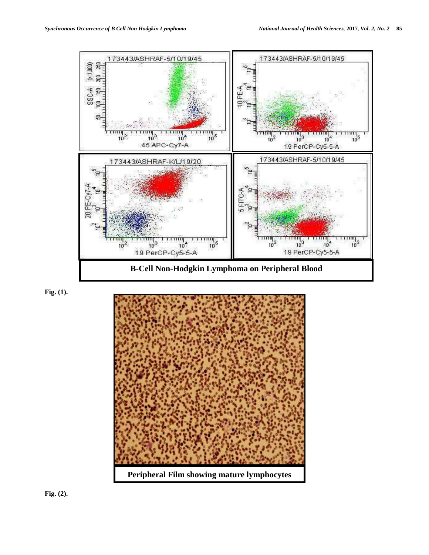



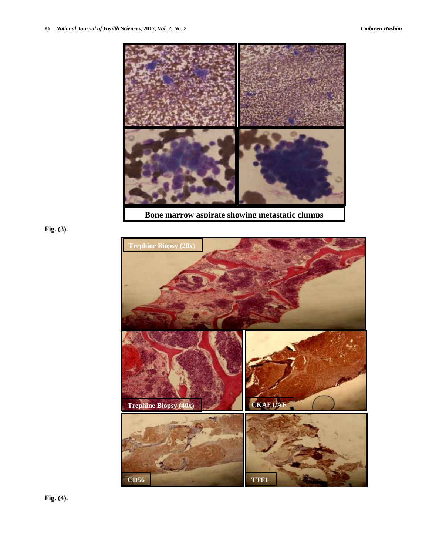

**Bone marrow aspirate showing metastatic clumps**

# **Fig. (3).**